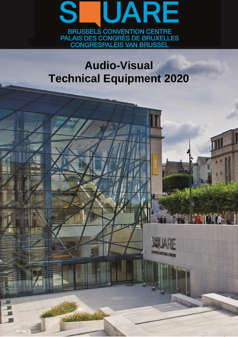

# **Audio-Visual Technical Equipment 2020**

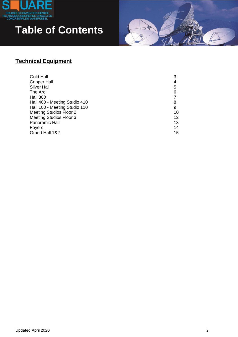

## **Table of Contents**

#### **Technical Equipment**

<span id="page-1-0"></span>

| Gold Hall                     |    |
|-------------------------------|----|
| <b>Copper Hall</b>            | 4  |
| <b>Silver Hall</b>            | 5  |
| The Arc                       | 6  |
| <b>Hall 300</b>               |    |
| Hall 400 - Meeting Studio 410 | 8  |
| Hall 100 - Meeting Studio 110 | 9  |
| Meeting Studios Floor 2       | 10 |
| Meeting Studios Floor 3       | 12 |
| Panoramic Hall                | 13 |
| Foyers                        | 14 |
| Grand Hall 1&2                | 15 |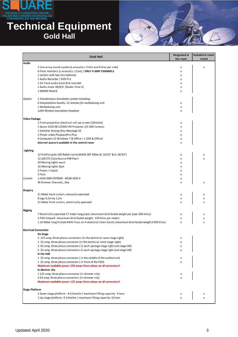

#### **Technical Equipment Gold Hall**



|                       | <b>Gold Hall</b>                                                                                                                                    | Integrated in<br>the room | Included in room<br>rental |
|-----------------------|-----------------------------------------------------------------------------------------------------------------------------------------------------|---------------------------|----------------------------|
| Audio                 |                                                                                                                                                     |                           |                            |
|                       | 1 Line array sound system (L-acoustics: 2 kilo and 6 kiva per side)                                                                                 | x                         | x                          |
|                       | 6 Floor monitors (L-acoustics 115xt) / ONLY 4 AMP CHANNELS                                                                                          | x                         |                            |
|                       | 1 Lectern with two microphones                                                                                                                      | x                         |                            |
|                       | 1 Audio Recorder / DVD Pro                                                                                                                          | x                         |                            |
|                       | 124 Track audio hard disk recorder<br>1 Audio mixer 48/8/4 (Studer Vista 5)                                                                         | x<br>x                    |                            |
|                       | 1 M6000 Reverb                                                                                                                                      | x                         |                            |
| Option:               | 1 Simultaneous translation system including:                                                                                                        |                           |                            |
|                       | 6 Interpretation booths, 12 remotes for multiplexing unit                                                                                           | x                         |                            |
|                       | 1 Multiplexing unit                                                                                                                                 | x                         |                            |
|                       | 1200 Wireless translation headsets                                                                                                                  | x                         |                            |
| <b>Video Package</b>  |                                                                                                                                                     |                           |                            |
|                       | 1 Front projection electrical roll-up screen (10mx5m)                                                                                               | x                         |                            |
|                       | 1 Epson 3LCD EB-L2500U HD Projector (25 000 lumens)                                                                                                 | x                         |                            |
|                       | 1 Switcher Analog Way Nexstage 16                                                                                                                   | x                         |                            |
|                       | 1 Player video PlaybackPro Plus                                                                                                                     | x                         |                            |
|                       | 4 Computers (3 Windows 7 & Office + 1 OSX & Office)<br>Internet access is available in the control room                                             | x                         |                            |
|                       |                                                                                                                                                     | x                         |                            |
| Lighting              |                                                                                                                                                     |                           |                            |
|                       | 12 Profile spots LED Robert Juliat 664SX ZEP 300w (6: 16/35° & 6: 28/54°)<br>12 LED ETC ColorSource PAR Pearl                                       | x                         | x                          |
|                       | 20 Moving lights wash                                                                                                                               | x<br>x                    | x                          |
|                       | 16 Moving lights Spot                                                                                                                               | x                         |                            |
|                       | 2 Fazers + liquid                                                                                                                                   | x                         |                            |
|                       | 2 Fans                                                                                                                                              | x                         |                            |
| Control:              | 1 HIGH END SYSTEMS - ROAD HOG 4                                                                                                                     | x                         |                            |
|                       | 96 Dimmer Channels, 3kw                                                                                                                             | x                         | x                          |
| <b>Drapery</b>        |                                                                                                                                                     |                           |                            |
|                       | 21 Meter back curtain, manually operated                                                                                                            | x                         | x                          |
|                       | 8 Legs 6,5m by 1,2m                                                                                                                                 | x                         | x                          |
|                       | 21 Meter front curtain, electrically operated                                                                                                       | x                         | x                          |
| <b>Rigging</b>        |                                                                                                                                                     |                           |                            |
|                       | 7 Electrically operated 17 meter long pipes (maximum distributed weight per pipe: 600 kilos)                                                        | x                         | x                          |
|                       | 1 FOH Catwalk (maximum distributed weight: 150 kilos per meter)                                                                                     | x                         | x                          |
|                       | 1 16 Meter long Prolyte X40V Truss on 4 electrical chain hoists (maximum distributed weight:1500 kilos)                                             | x                         | x                          |
|                       | <b>Electrical Connection</b>                                                                                                                        |                           |                            |
|                       | On Stage                                                                                                                                            |                           |                            |
|                       | 2 125-amp, three-phase connectors (in the technical room stage right)                                                                               | x                         |                            |
|                       | 1 32-amp, three-phase connector (in the technical room stage right)<br>2 63-amp, three-phase connectors (1 each upstage stage right and stage left) | x<br>x                    |                            |
|                       | 2 32-amp, three-phase connectors (1 each upstage stage right and stage left)                                                                        | x                         |                            |
|                       | In the Hall                                                                                                                                         |                           |                            |
|                       | 1 32-amp, three-phase connector (in the middle of the auditorium)                                                                                   | x                         |                            |
|                       | 1 32-amp, three-phase connector (in front of the FOH)                                                                                               | x                         |                            |
|                       | Maximum available power 250 amps three phase on all connectors!                                                                                     |                           |                            |
|                       | In dimmer city                                                                                                                                      |                           |                            |
|                       | 1125-amp, three-phase connector (in dimmer city)                                                                                                    | x                         |                            |
|                       | 263-amp, three-phase connectors (in dimmer city)                                                                                                    | x                         |                            |
|                       | Maximum available power 125 amps three phase on all connectors!                                                                                     |                           |                            |
| <b>Stage Platform</b> |                                                                                                                                                     |                           |                            |
|                       | 1 Down stage platform : $\pm$ 4,5mx3m / maximum lifting capacity : 4 tons                                                                           | x                         | х                          |
|                       | 1 Up stage platform: $\pm$ 13mx4m / maximum lifting capacity: 10 tons                                                                               | x                         | x                          |
|                       |                                                                                                                                                     |                           |                            |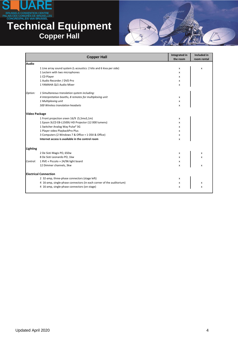

#### **Technical Equipment Copper Hall**

<span id="page-3-0"></span>

|               | <b>Copper Hall</b>                                                   | Integrated in<br>the room | Included in<br>room rental |
|---------------|----------------------------------------------------------------------|---------------------------|----------------------------|
| Audio         |                                                                      |                           |                            |
|               | 1 Line array sound system (L-acoustics: 2 kilo and 6 kiva per side)  | x                         | x                          |
|               | 1 Lectern with two microphones                                       | x                         |                            |
|               | 1 CD Player                                                          | x                         |                            |
|               | 1 Audio Recorder / DVD Pro                                           | x                         |                            |
|               | 1 YAMAHA QL5 Audio Mixer                                             | x                         |                            |
| Option:       | 1 Simultaneous translation system including:                         |                           |                            |
|               | 4 Interpretation booths, 8 remotes for multiplexing unit             | x                         |                            |
|               | 1 Multiplexing unit                                                  | x                         |                            |
|               | 500 Wireless translation headsets                                    | x                         |                            |
| Video Package |                                                                      |                           |                            |
|               | 1 Front projection sreen 16/9 (5,5mx3,1m)                            | X                         |                            |
|               | 1 Epson 3LCD EB-L1500U HD Projector (12 000 lumens)                  | x                         |                            |
|               | 1 Switcher Analog Way Pulse <sup>2</sup> 3G                          | x                         |                            |
|               | 1 Player video PlaybackPro Plus                                      | x                         |                            |
|               | 3 Computers (2 Windows 7 & Office + 1 OSX & Office)                  | x                         |                            |
|               | Internet access is available in the control room                     | x                         |                            |
| Lighting      |                                                                      |                           |                            |
|               | 2 De Sisti Magis PO, 650w                                            | x                         | х                          |
|               | 8 De Sisti Leonardo PO, 1kw                                          | X                         | x                          |
| Control:      | 1 RVE « Piccolo » 24/96 light board                                  | x                         |                            |
|               | 12 Dimmer channels, 3kw                                              | x                         | x                          |
|               | <b>Electrical Connection</b>                                         |                           |                            |
|               | 2 32-amp, three-phase connectors (stage left)                        | x                         |                            |
|               | 4 16-amp, single-phase connectors (in each corner of the auditorium) | x                         | x                          |
|               | 4 16-amp, single-phase connectors (on stage)                         | x                         | x                          |
|               |                                                                      |                           |                            |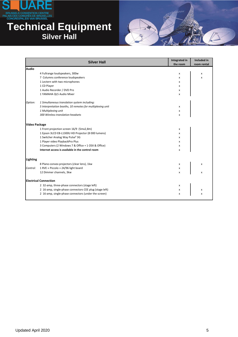

### **Technical Equipment Silver Hall**



<span id="page-4-0"></span>

|                      | <b>Silver Hall</b>                                        | Integrated in<br>the room | Included in<br>room rental |
|----------------------|-----------------------------------------------------------|---------------------------|----------------------------|
| <b>Audio</b>         |                                                           |                           |                            |
|                      | 4 Fullrange loudspeakers, 300w                            | x                         | x                          |
|                      | 7 Columns conference loudspeakers                         | x                         | x                          |
|                      | 1 Lectern with two microphones                            | x                         |                            |
|                      | 1 CD Player                                               | x                         |                            |
|                      | 1 Audio Recorder / DVD Pro                                | x                         |                            |
|                      | 1 YAMAHA QL5 Audio Mixer                                  | x                         |                            |
| Option:              | 1 Simultaneous translation system including:              |                           |                            |
|                      | 5 Interpretation booths, 10 remotes for multiplexing unit | x                         |                            |
|                      | 1 Multiplexing unit                                       | x                         |                            |
|                      | 300 Wireless translation headsets                         | x                         |                            |
| <b>Video Package</b> |                                                           |                           |                            |
|                      | 1 Front projection screen 16/9 (5mx2,8m)                  | x                         |                            |
|                      | 1 Epson 3LCD EB-L1300U HD Projector (8 000 lumens)        | x                         |                            |
|                      | 1 Switcher Analog Way Pulse <sup>2</sup> 3G               | x                         |                            |
|                      | 1 Player video PlaybackPro Plus                           | x                         |                            |
|                      | 3 Computers (2 Windows 7 & Office + 1 OSX & Office)       | x                         |                            |
|                      | Internet access is available in the control room          | x                         |                            |
| Lighting             |                                                           |                           |                            |
|                      | 8 Plano-convex projectors (clear lens), 1kw               | x                         | x                          |
| Control:             | 1 RVE « Piccolo » 24/96 light board                       | x                         |                            |
|                      | 12 Dimmer channels, 3kw                                   | x                         | x                          |
|                      | <b>Electrical Connection</b>                              |                           |                            |
|                      | 2 32-amp, three-phase connectors (stage left)             | x                         |                            |
|                      | 2 16-amp, single-phase connectors CEE plug (stage left)   | x                         | x                          |
|                      | 2 16-amp, single-phase connectors (under the screen)      | X                         | x                          |
|                      |                                                           |                           |                            |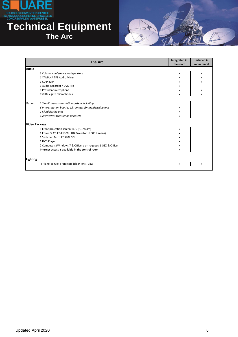

#### **Technical Equipment The Arc**



<span id="page-5-0"></span>

|                      | <b>The Arc</b>                                                | Integrated in<br>the room | Included in<br>room rental |
|----------------------|---------------------------------------------------------------|---------------------------|----------------------------|
| <b>Audio</b>         |                                                               |                           |                            |
|                      | 6 Column conference loudspeakers                              | x                         | x                          |
|                      | 1 YAMAHA TF1 Audio Mixer                                      | x                         | x                          |
|                      | 1 CD Player                                                   | x                         | x                          |
|                      | 1 Audio Recorder / DVD Pro                                    | x                         |                            |
|                      | 1 President microphone                                        | x                         | x                          |
|                      | 150 Delegate microphones                                      | x                         | X                          |
| Option:              | 1 Simultaneous translation system including:                  |                           |                            |
|                      | 6 Interpretation booths, 12 remotes for multiplexing unit     | x                         |                            |
|                      | 1 Multiplexing unit                                           | x                         |                            |
|                      | 150 Wireless translation headsets                             | x                         |                            |
| <b>Video Package</b> |                                                               |                           |                            |
|                      | 1 Front projection screen 16/9 (5,3mx3m)                      | x                         |                            |
|                      | 1 Epson 3LCD EB-L1300U HD Projector (6 000 lumens)            | x                         |                            |
|                      | 1 Switcher Barco PDS902 3G                                    | x                         |                            |
|                      | 1 DVD Player                                                  | x                         |                            |
|                      | 2 Computers (Windows 7 & Office) / on request: 1 OSX & Office | x                         |                            |
|                      | Internet access is available in the control room              | x                         |                            |
| Lighting             |                                                               |                           |                            |
|                      | 4 Plano-convex projectors (clear lens), 1kw                   | x                         | x                          |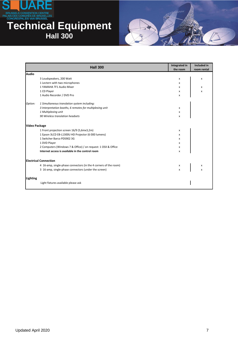

#### **Technical Equipment Hall 300**



<span id="page-6-0"></span>

|                      | <b>Hall 300</b>                                                  | <b>Integrated in</b><br>the room | <b>Included in</b><br>room rental |
|----------------------|------------------------------------------------------------------|----------------------------------|-----------------------------------|
| Audio                |                                                                  |                                  |                                   |
|                      | 3 Loudspeakers, 200 Watt                                         | x                                | x                                 |
|                      | 1 Lectern with two microphones                                   | x                                |                                   |
|                      | 1 YAMAHA TF1 Audio Mixer                                         | x                                | x                                 |
|                      | 1 CD Player                                                      | x                                | x                                 |
|                      | 1 Audio Recorder / DVD Pro                                       | x                                |                                   |
| Option:              | 1 Simultaneous translation system including:                     |                                  |                                   |
|                      | 3 Interpretation booths, 6 remotes for multiplexing unit         | x                                |                                   |
|                      | 1 Multiplexing unit                                              | x                                |                                   |
|                      | 90 Wireless translation headsets                                 | x                                |                                   |
| <b>Video Package</b> |                                                                  |                                  |                                   |
|                      | 1 Front projection screen 16/9 (5,6mx3,2m)                       | x                                |                                   |
|                      | 1 Epson 3LCD EB-L1300U HD Projector (6 000 lumens)               | x                                |                                   |
|                      | 1 Switcher Barco PDS902 3G                                       | x                                |                                   |
|                      | 1 DVD Player                                                     | x                                |                                   |
|                      | 2 Computers (Windows 7 & Office) / on request: 1 OSX & Office    | x                                |                                   |
|                      | Internet access is available in the control room                 | x                                |                                   |
|                      | <b>Electrical Connection</b>                                     |                                  |                                   |
|                      | 4 16-amp, single-phase connectors (in the 4 corners of the room) | x                                | x                                 |
|                      | 3 16-amp, single-phase connectors (under the screen)             | x                                | x                                 |
| Lighting             |                                                                  |                                  |                                   |
|                      | Light fixtures available please ask                              |                                  |                                   |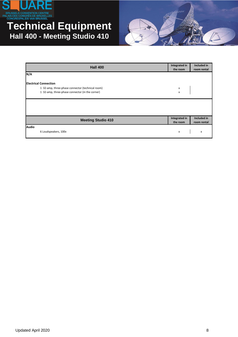

#### **Technical Equipment Hall 400 - Meeting Studio 410**



<span id="page-7-0"></span>

| <b>Hall 400</b>                                  | Integrated in<br>the room | Included in<br>room rental |
|--------------------------------------------------|---------------------------|----------------------------|
| N/A                                              |                           |                            |
| <b>Electrical Connection</b>                     |                           |                            |
| 1 32-amp, three-phase connector (technical room) | $\frac{x}{x}$             |                            |
| 1 32-amp, three-phase connector (in the corner)  |                           |                            |
|                                                  |                           |                            |
|                                                  |                           |                            |
|                                                  |                           |                            |
|                                                  |                           |                            |
| <b>Meeting Studio 410</b>                        | Integrated in             | Included in                |
|                                                  | the room                  | room rental                |
| <b>Audio</b>                                     |                           |                            |
| 6 Loudspeakers, 100v                             | x                         | x                          |
|                                                  |                           |                            |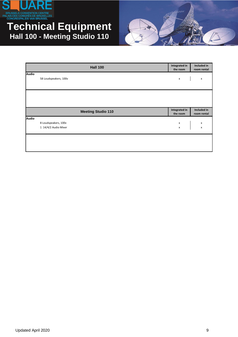

#### **Technical Equipment Hall 100 - Meeting Studio 110**



<span id="page-8-0"></span>

|              | <b>Hall 100</b>           | Integrated in<br>the room | Included in<br>room rental |
|--------------|---------------------------|---------------------------|----------------------------|
| <b>Audio</b> |                           |                           |                            |
|              | 58 Loudspeakers, 100v     | $\pmb{\mathsf{x}}$        | $\pmb{\mathsf{x}}$         |
|              |                           |                           |                            |
|              |                           |                           |                            |
|              |                           |                           |                            |
|              |                           |                           |                            |
|              | <b>Meeting Studio 110</b> | Integrated in<br>the room | Included in<br>room rental |
| <b>Audio</b> |                           |                           |                            |
|              | 8 Loudspeakers, 100v      | $\pmb{\mathsf{X}}$        | X                          |
|              | 1 14/4/2 Audio Mixer      | $\pmb{\mathsf{x}}$        | $\pmb{\mathsf{x}}$         |
|              |                           |                           |                            |
|              |                           |                           |                            |
|              |                           |                           |                            |
|              |                           |                           |                            |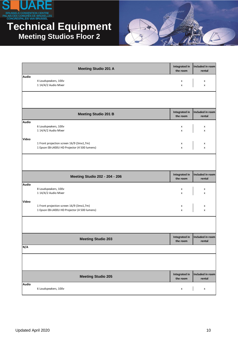

#### **Technical Equipment Meeting Studios Floor 2**

<span id="page-9-0"></span>

|              | <b>Meeting Studio 201 A</b>                                                              | <b>Integrated in</b><br>the room | Included in room<br>rental |
|--------------|------------------------------------------------------------------------------------------|----------------------------------|----------------------------|
| <b>Audio</b> | 4 Loudspeakers, 100v<br>1 14/4/2 Audio Mixer                                             | x<br>x                           | x<br>x                     |
|              |                                                                                          | <b>Integrated in</b>             | Included in room           |
|              | <b>Meeting Studio 201 B</b>                                                              | the room                         | rental                     |
| <b>Audio</b> | 6 Loudspeakers, 100v<br>1 14/4/2 Audio Mixer                                             | x<br>x                           | х<br>x                     |
| Video        | 1 Front projection screen 16/9 (3mx1,7m)<br>1 Epson EB-L400U HD Projector (4 500 lumens) | x<br>X                           | x<br>x                     |
|              |                                                                                          |                                  |                            |
|              | <b>Meeting Studio 202 - 204 - 206</b>                                                    | Integrated in<br>the room        | Included in room<br>rental |
| <b>Audio</b> | 8 Loudspeakers, 100v<br>1 14/4/2 Audio Mixer                                             | x<br>x                           | x<br>x                     |
| Video        | 1 Front projection screen 16/9 (3mx1,7m)<br>1 Epson EB-L400U HD Projector (4 500 lumens) | x<br>x                           | x<br>x                     |
|              |                                                                                          |                                  |                            |
|              | <b>Meeting Studio 203</b>                                                                | Integrated in<br>the room        | Included in room<br>rental |
| N/A          |                                                                                          |                                  |                            |
|              |                                                                                          |                                  |                            |
|              | <b>Meeting Studio 205</b>                                                                | <b>Integrated in</b><br>the room | Included in room<br>rental |
| <b>Audio</b> | 6 Loudspeakers, 100v                                                                     | $\pmb{\mathsf{x}}$               | $\pmb{\times}$             |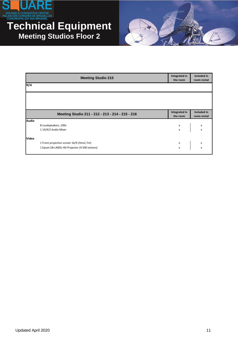

#### **Technical Equipment Meeting Studios Floor 2**



|              | <b>Meeting Studio 210</b>                        | Integrated in<br>the room             | Included in<br>room rental                          |
|--------------|--------------------------------------------------|---------------------------------------|-----------------------------------------------------|
| N/A          |                                                  |                                       |                                                     |
|              |                                                  |                                       |                                                     |
|              |                                                  |                                       |                                                     |
|              | Meeting Studio 211 - 212 - 213 - 214 - 215 - 216 | Integrated in<br>the room             | Included in<br>room rental                          |
| <b>Audio</b> |                                                  |                                       |                                                     |
|              | 8 Loudspeakers, 100v                             |                                       | $\begin{array}{ccc} x & & x \\ x & & x \end{array}$ |
|              | 1 14/4/2 Audio Mixer                             |                                       |                                                     |
| <b>Video</b> |                                                  |                                       |                                                     |
|              | 1 Front projection screen 16/9 (3mx1,7m)         |                                       |                                                     |
|              | 1 Epson EB-L400U HD Projector (4 500 lumens)     | $\begin{array}{c} x \\ x \end{array}$ | $\frac{x}{x}$                                       |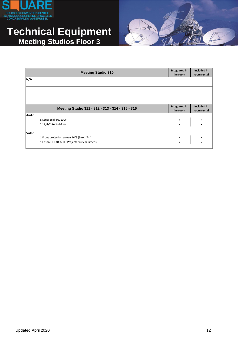

#### **Technical Equipment Meeting Studios Floor 3**



<span id="page-11-0"></span>

|              | <b>Meeting Studio 310</b>                        | Integrated in<br>the room | Included in<br>room rental                          |
|--------------|--------------------------------------------------|---------------------------|-----------------------------------------------------|
| N/A          |                                                  |                           |                                                     |
|              |                                                  |                           |                                                     |
|              |                                                  |                           |                                                     |
|              | Meeting Studio 311 - 312 - 313 - 314 - 315 - 316 | Integrated in<br>the room | Included in<br>room rental                          |
| <b>Audio</b> |                                                  |                           |                                                     |
|              | 8 Loudspeakers, 100v                             |                           | $\begin{array}{ccc} x & & x \\ x & & x \end{array}$ |
|              | 1 14/4/2 Audio Mixer                             |                           |                                                     |
| <b>Video</b> |                                                  |                           |                                                     |
|              | 1 Front projection screen 16/9 (3mx1,7m)         |                           | $\begin{array}{ccc} x & & x \\ x & & x \end{array}$ |
|              | 1 Epson EB-L400U HD Projector (4 500 lumens)     |                           |                                                     |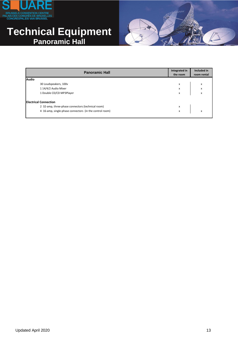

#### **Technical Equipment Panoramic Hall**



<span id="page-12-0"></span>

| <b>Panoramic Hall</b>                                   | Integrated in<br>the room | Included in<br>room rental |
|---------------------------------------------------------|---------------------------|----------------------------|
| <b>Audio</b>                                            |                           |                            |
| 30 Loudspeakers, 100v                                   | x                         | x                          |
| 1 14/4/2 Audio Mixer                                    | x                         | $\pmb{\mathsf{x}}$         |
| 1 Double CD/CD MP3Player                                | X                         | X                          |
| <b>Electrical Connection</b>                            |                           |                            |
| 2 32-amp, three-phase connectors (technical room)       | x                         |                            |
| 4 16-amp, single-phase connectors (in the control room) | x                         | X                          |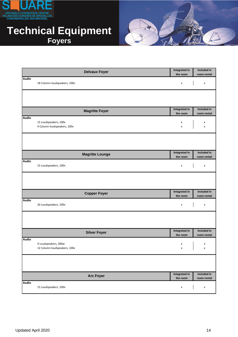

#### **Technical Equipment Foyers**



<span id="page-13-0"></span>

|              | <b>Delvaux Foyer</b>                                 | Integrated in                    | Included in                |
|--------------|------------------------------------------------------|----------------------------------|----------------------------|
|              |                                                      | the room                         | room rental                |
| <b>Audio</b> | 18 Column loudspeakers, 100v                         | $\pmb{\times}$                   | $\pmb{\mathsf{x}}$         |
|              |                                                      |                                  |                            |
|              | <b>Magritte Foyer</b>                                | <b>Integrated in</b><br>the room | Included in<br>room rental |
| <b>Audio</b> | 15 Loudspeakers, 100v<br>4 Column loudspeakers, 100v | x<br>$\pmb{\times}$              | x<br>x                     |
|              |                                                      |                                  |                            |
|              | <b>Magritte Lounge</b>                               | <b>Integrated in</b><br>the room | Included in<br>room rental |
| <b>Audio</b> | 15 Loudspeakers, 100v                                | X                                | $\pmb{\times}$             |
|              |                                                      |                                  |                            |
|              | <b>Copper Foyer</b>                                  | <b>Integrated in</b><br>the room | Included in<br>room rental |
| <b>Audio</b> | 20 Loudspeakers, 100v                                | $\pmb{\mathsf{x}}$               | $\pmb{\mathsf{x}}$         |
|              |                                                      |                                  |                            |
|              | <b>Silver Foyer</b>                                  | <b>Integrated in</b><br>the room | Included in<br>room rental |
| <b>Audio</b> | 4 Loudspeakers, 300w<br>12 Column loudspeakers, 100v | X<br>x                           | x<br>x                     |
|              |                                                      |                                  |                            |
|              | <b>Arc Foyer</b>                                     | <b>Integrated in</b><br>the room | Included in<br>room rental |
| <b>Audio</b> | 15 Loudspeakers, 100v                                | $\pmb{\mathsf{x}}$               | $\pmb{\mathsf{x}}$         |